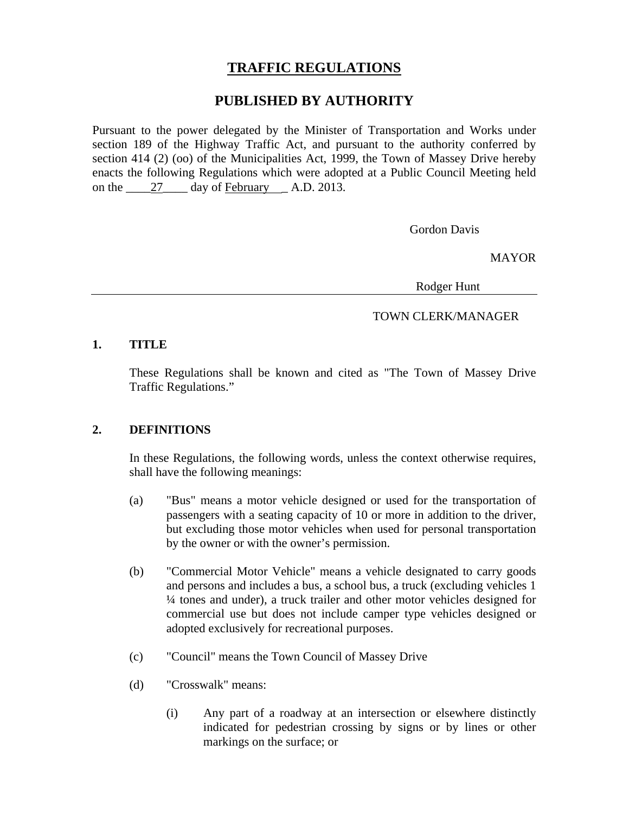# **TRAFFIC REGULATIONS**

# **PUBLISHED BY AUTHORITY**

Pursuant to the power delegated by the Minister of Transportation and Works under section 189 of the Highway Traffic Act, and pursuant to the authority conferred by section 414 (2) (oo) of the Municipalities Act, 1999, the Town of Massey Drive hereby enacts the following Regulations which were adopted at a Public Council Meeting held on the  $27 \text{ day of February}$  A.D. 2013.

Gordon Davis

**MAYOR** 

Rodger Hunt

# TOWN CLERK/MANAGER

# **1. TITLE**

These Regulations shall be known and cited as "The Town of Massey Drive Traffic Regulations."

# **2. DEFINITIONS**

In these Regulations, the following words, unless the context otherwise requires, shall have the following meanings:

- (a) "Bus" means a motor vehicle designed or used for the transportation of passengers with a seating capacity of 10 or more in addition to the driver, but excluding those motor vehicles when used for personal transportation by the owner or with the owner's permission.
- (b) "Commercial Motor Vehicle" means a vehicle designated to carry goods and persons and includes a bus, a school bus, a truck (excluding vehicles 1 ¼ tones and under), a truck trailer and other motor vehicles designed for commercial use but does not include camper type vehicles designed or adopted exclusively for recreational purposes.
- (c) "Council" means the Town Council of Massey Drive
- (d) "Crosswalk" means:
	- (i) Any part of a roadway at an intersection or elsewhere distinctly indicated for pedestrian crossing by signs or by lines or other markings on the surface; or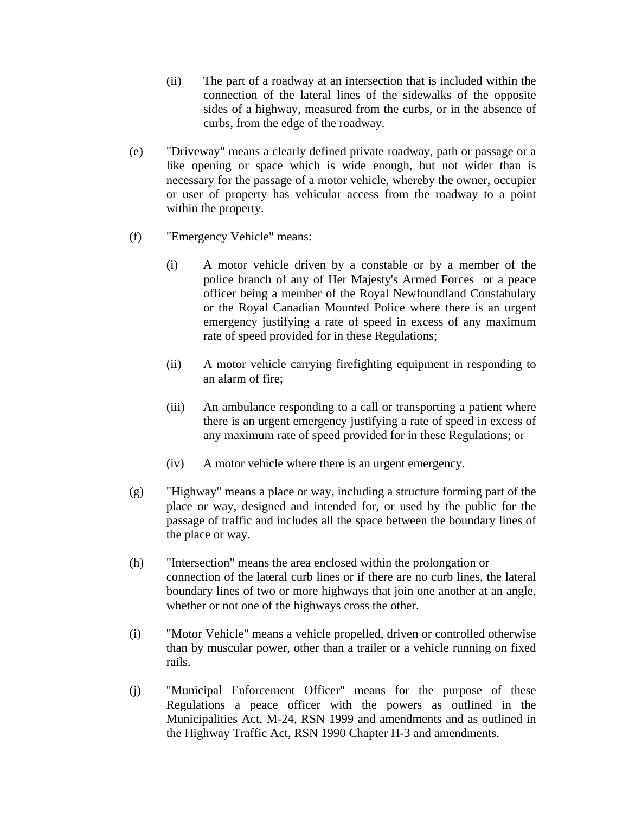- (ii) The part of a roadway at an intersection that is included within the connection of the lateral lines of the sidewalks of the opposite sides of a highway, measured from the curbs, or in the absence of curbs, from the edge of the roadway.
- (e) "Driveway" means a clearly defined private roadway, path or passage or a like opening or space which is wide enough, but not wider than is necessary for the passage of a motor vehicle, whereby the owner, occupier or user of property has vehicular access from the roadway to a point within the property.
- (f) "Emergency Vehicle" means:
	- (i) A motor vehicle driven by a constable or by a member of the police branch of any of Her Majesty's Armed Forces or a peace officer being a member of the Royal Newfoundland Constabulary or the Royal Canadian Mounted Police where there is an urgent emergency justifying a rate of speed in excess of any maximum rate of speed provided for in these Regulations;
	- (ii) A motor vehicle carrying firefighting equipment in responding to an alarm of fire;
	- (iii) An ambulance responding to a call or transporting a patient where there is an urgent emergency justifying a rate of speed in excess of any maximum rate of speed provided for in these Regulations; or
	- (iv) A motor vehicle where there is an urgent emergency.
- (g) "Highway" means a place or way, including a structure forming part of the place or way, designed and intended for, or used by the public for the passage of traffic and includes all the space between the boundary lines of the place or way.
- (h) "Intersection" means the area enclosed within the prolongation or connection of the lateral curb lines or if there are no curb lines, the lateral boundary lines of two or more highways that join one another at an angle, whether or not one of the highways cross the other.
- (i) "Motor Vehicle" means a vehicle propelled, driven or controlled otherwise than by muscular power, other than a trailer or a vehicle running on fixed rails.
- (j) "Municipal Enforcement Officer" means for the purpose of these Regulations a peace officer with the powers as outlined in the Municipalities Act, M-24, RSN 1999 and amendments and as outlined in the Highway Traffic Act, RSN 1990 Chapter H-3 and amendments.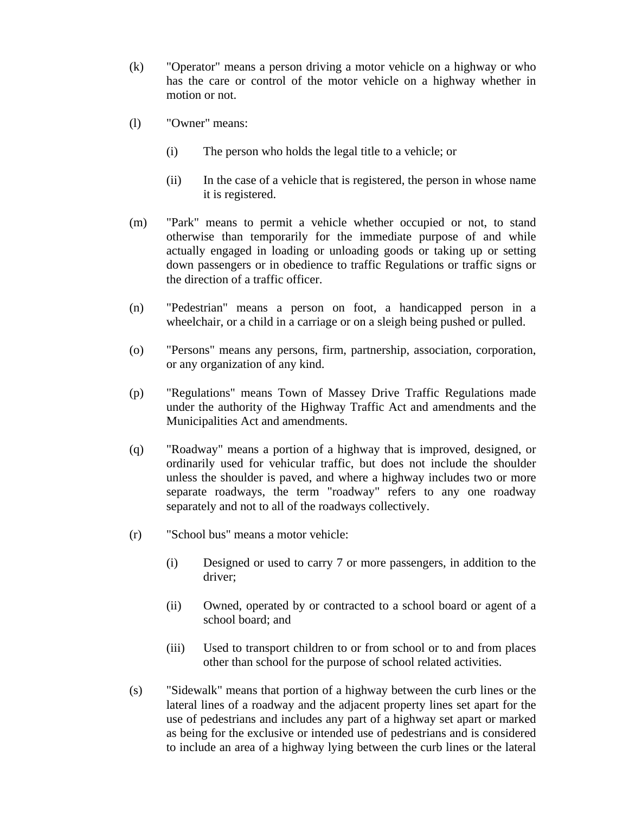- (k) "Operator" means a person driving a motor vehicle on a highway or who has the care or control of the motor vehicle on a highway whether in motion or not.
- (l) "Owner" means:
	- (i) The person who holds the legal title to a vehicle; or
	- (ii) In the case of a vehicle that is registered, the person in whose name it is registered.
- (m) "Park" means to permit a vehicle whether occupied or not, to stand otherwise than temporarily for the immediate purpose of and while actually engaged in loading or unloading goods or taking up or setting down passengers or in obedience to traffic Regulations or traffic signs or the direction of a traffic officer.
- (n) "Pedestrian" means a person on foot, a handicapped person in a wheelchair, or a child in a carriage or on a sleigh being pushed or pulled.
- (o) "Persons" means any persons, firm, partnership, association, corporation, or any organization of any kind.
- (p) "Regulations" means Town of Massey Drive Traffic Regulations made under the authority of the Highway Traffic Act and amendments and the Municipalities Act and amendments.
- (q) "Roadway" means a portion of a highway that is improved, designed, or ordinarily used for vehicular traffic, but does not include the shoulder unless the shoulder is paved, and where a highway includes two or more separate roadways, the term "roadway" refers to any one roadway separately and not to all of the roadways collectively.
- (r) "School bus" means a motor vehicle:
	- (i) Designed or used to carry 7 or more passengers, in addition to the driver;
	- (ii) Owned, operated by or contracted to a school board or agent of a school board; and
	- (iii) Used to transport children to or from school or to and from places other than school for the purpose of school related activities.
- (s) "Sidewalk" means that portion of a highway between the curb lines or the lateral lines of a roadway and the adjacent property lines set apart for the use of pedestrians and includes any part of a highway set apart or marked as being for the exclusive or intended use of pedestrians and is considered to include an area of a highway lying between the curb lines or the lateral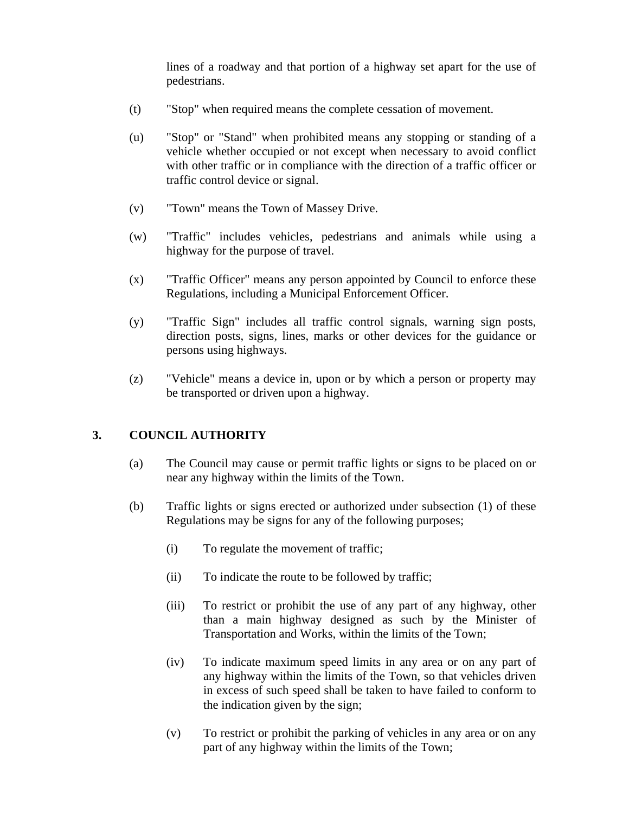lines of a roadway and that portion of a highway set apart for the use of pedestrians.

- (t) "Stop" when required means the complete cessation of movement.
- (u) "Stop" or "Stand" when prohibited means any stopping or standing of a vehicle whether occupied or not except when necessary to avoid conflict with other traffic or in compliance with the direction of a traffic officer or traffic control device or signal.
- (v) "Town" means the Town of Massey Drive.
- (w) "Traffic" includes vehicles, pedestrians and animals while using a highway for the purpose of travel.
- (x) "Traffic Officer" means any person appointed by Council to enforce these Regulations, including a Municipal Enforcement Officer.
- (y) "Traffic Sign" includes all traffic control signals, warning sign posts, direction posts, signs, lines, marks or other devices for the guidance or persons using highways.
- (z) "Vehicle" means a device in, upon or by which a person or property may be transported or driven upon a highway.

# **3. COUNCIL AUTHORITY**

- (a) The Council may cause or permit traffic lights or signs to be placed on or near any highway within the limits of the Town.
- (b) Traffic lights or signs erected or authorized under subsection (1) of these Regulations may be signs for any of the following purposes;
	- (i) To regulate the movement of traffic;
	- (ii) To indicate the route to be followed by traffic;
	- (iii) To restrict or prohibit the use of any part of any highway, other than a main highway designed as such by the Minister of Transportation and Works, within the limits of the Town;
	- (iv) To indicate maximum speed limits in any area or on any part of any highway within the limits of the Town, so that vehicles driven in excess of such speed shall be taken to have failed to conform to the indication given by the sign;
	- (v) To restrict or prohibit the parking of vehicles in any area or on any part of any highway within the limits of the Town;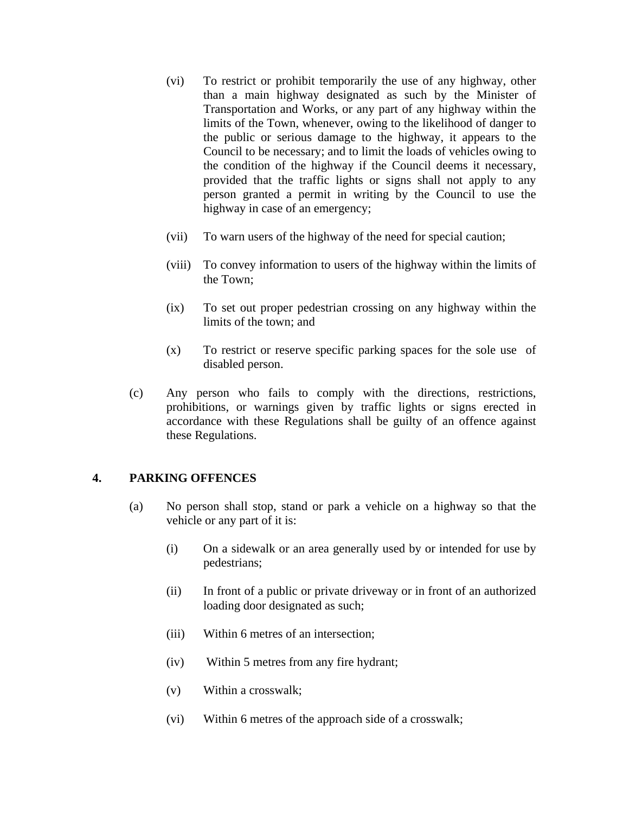- (vi) To restrict or prohibit temporarily the use of any highway, other than a main highway designated as such by the Minister of Transportation and Works, or any part of any highway within the limits of the Town, whenever, owing to the likelihood of danger to the public or serious damage to the highway, it appears to the Council to be necessary; and to limit the loads of vehicles owing to the condition of the highway if the Council deems it necessary, provided that the traffic lights or signs shall not apply to any person granted a permit in writing by the Council to use the highway in case of an emergency;
- (vii) To warn users of the highway of the need for special caution;
- (viii) To convey information to users of the highway within the limits of the Town;
- (ix) To set out proper pedestrian crossing on any highway within the limits of the town; and
- (x) To restrict or reserve specific parking spaces for the sole use of disabled person.
- (c) Any person who fails to comply with the directions, restrictions, prohibitions, or warnings given by traffic lights or signs erected in accordance with these Regulations shall be guilty of an offence against these Regulations.

# **4. PARKING OFFENCES**

- (a) No person shall stop, stand or park a vehicle on a highway so that the vehicle or any part of it is:
	- (i) On a sidewalk or an area generally used by or intended for use by pedestrians;
	- (ii) In front of a public or private driveway or in front of an authorized loading door designated as such;
	- (iii) Within 6 metres of an intersection;
	- (iv) Within 5 metres from any fire hydrant;
	- (v) Within a crosswalk;
	- (vi) Within 6 metres of the approach side of a crosswalk;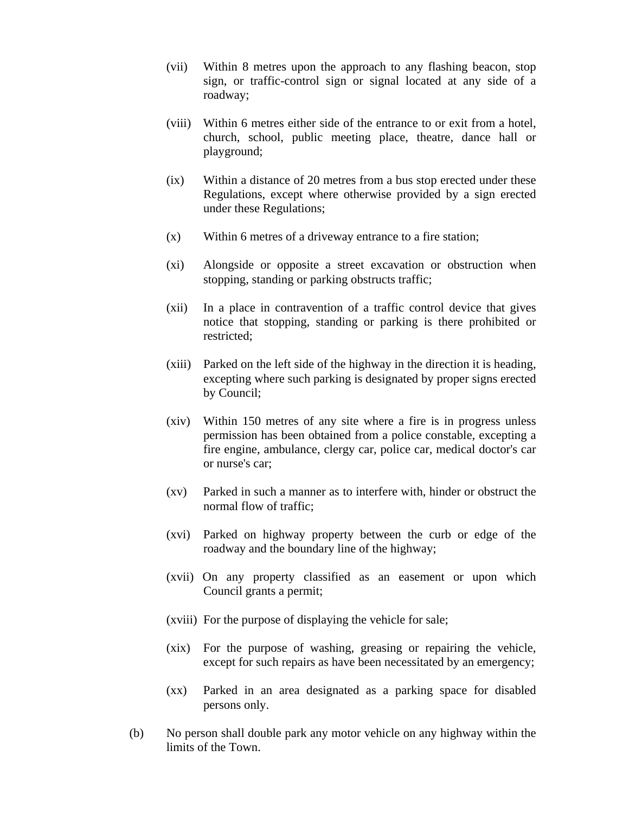- (vii) Within 8 metres upon the approach to any flashing beacon, stop sign, or traffic-control sign or signal located at any side of a roadway;
- (viii) Within 6 metres either side of the entrance to or exit from a hotel, church, school, public meeting place, theatre, dance hall or playground;
- (ix) Within a distance of 20 metres from a bus stop erected under these Regulations, except where otherwise provided by a sign erected under these Regulations;
- (x) Within 6 metres of a driveway entrance to a fire station;
- (xi) Alongside or opposite a street excavation or obstruction when stopping, standing or parking obstructs traffic;
- (xii) In a place in contravention of a traffic control device that gives notice that stopping, standing or parking is there prohibited or restricted;
- (xiii) Parked on the left side of the highway in the direction it is heading, excepting where such parking is designated by proper signs erected by Council;
- (xiv) Within 150 metres of any site where a fire is in progress unless permission has been obtained from a police constable, excepting a fire engine, ambulance, clergy car, police car, medical doctor's car or nurse's car;
- (xv) Parked in such a manner as to interfere with, hinder or obstruct the normal flow of traffic;
- (xvi) Parked on highway property between the curb or edge of the roadway and the boundary line of the highway;
- (xvii) On any property classified as an easement or upon which Council grants a permit;
- (xviii) For the purpose of displaying the vehicle for sale;
- (xix) For the purpose of washing, greasing or repairing the vehicle, except for such repairs as have been necessitated by an emergency;
- (xx) Parked in an area designated as a parking space for disabled persons only.
- (b) No person shall double park any motor vehicle on any highway within the limits of the Town.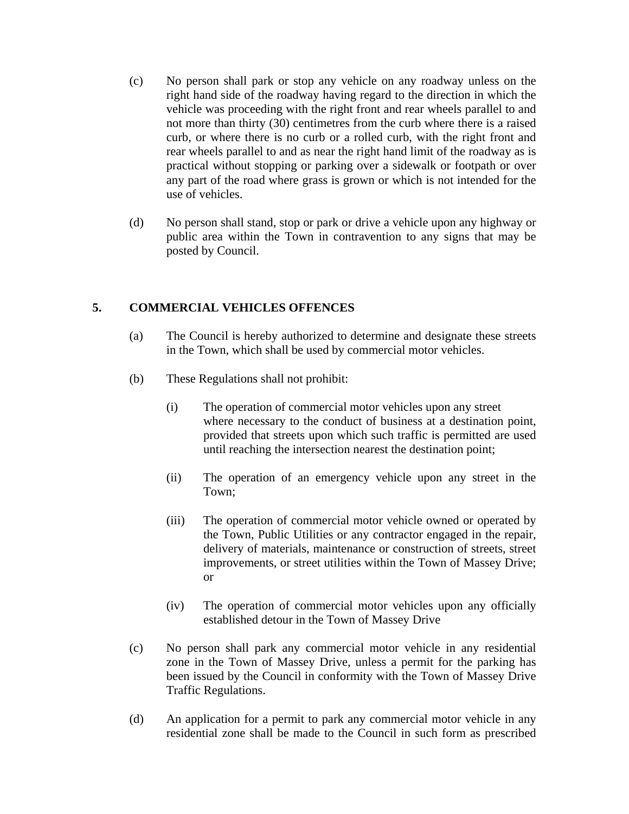- (c) No person shall park or stop any vehicle on any roadway unless on the right hand side of the roadway having regard to the direction in which the vehicle was proceeding with the right front and rear wheels parallel to and not more than thirty (30) centimetres from the curb where there is a raised curb, or where there is no curb or a rolled curb, with the right front and rear wheels parallel to and as near the right hand limit of the roadway as is practical without stopping or parking over a sidewalk or footpath or over any part of the road where grass is grown or which is not intended for the use of vehicles.
- (d) No person shall stand, stop or park or drive a vehicle upon any highway or public area within the Town in contravention to any signs that may be posted by Council.

# **5. COMMERCIAL VEHICLES OFFENCES**

- (a) The Council is hereby authorized to determine and designate these streets in the Town, which shall be used by commercial motor vehicles.
- (b) These Regulations shall not prohibit:
	- (i) The operation of commercial motor vehicles upon any street where necessary to the conduct of business at a destination point, provided that streets upon which such traffic is permitted are used until reaching the intersection nearest the destination point;
	- (ii) The operation of an emergency vehicle upon any street in the Town;
	- (iii) The operation of commercial motor vehicle owned or operated by the Town, Public Utilities or any contractor engaged in the repair, delivery of materials, maintenance or construction of streets, street improvements, or street utilities within the Town of Massey Drive; or
	- (iv) The operation of commercial motor vehicles upon any officially established detour in the Town of Massey Drive
- (c) No person shall park any commercial motor vehicle in any residential zone in the Town of Massey Drive, unless a permit for the parking has been issued by the Council in conformity with the Town of Massey Drive Traffic Regulations.
- (d) An application for a permit to park any commercial motor vehicle in any residential zone shall be made to the Council in such form as prescribed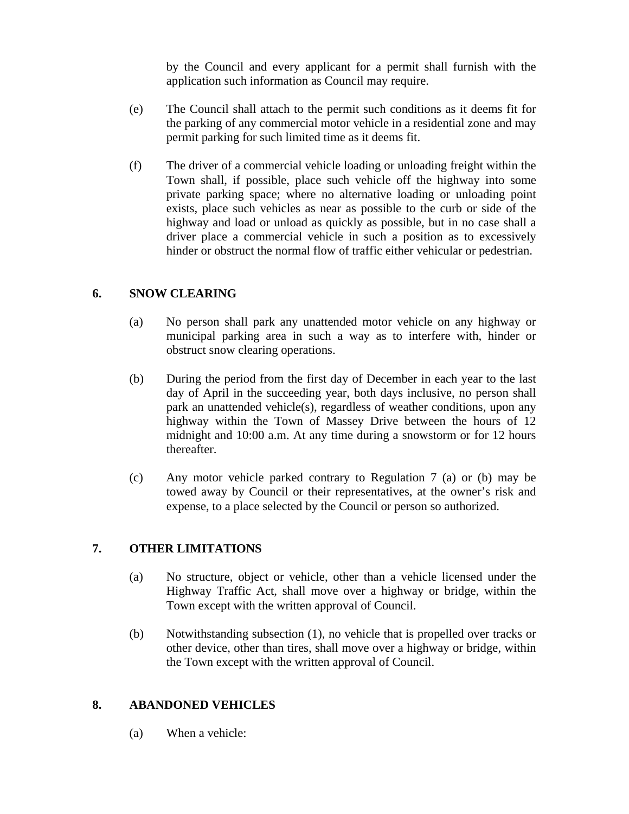by the Council and every applicant for a permit shall furnish with the application such information as Council may require.

- (e) The Council shall attach to the permit such conditions as it deems fit for the parking of any commercial motor vehicle in a residential zone and may permit parking for such limited time as it deems fit.
- (f) The driver of a commercial vehicle loading or unloading freight within the Town shall, if possible, place such vehicle off the highway into some private parking space; where no alternative loading or unloading point exists, place such vehicles as near as possible to the curb or side of the highway and load or unload as quickly as possible, but in no case shall a driver place a commercial vehicle in such a position as to excessively hinder or obstruct the normal flow of traffic either vehicular or pedestrian.

# **6. SNOW CLEARING**

- (a) No person shall park any unattended motor vehicle on any highway or municipal parking area in such a way as to interfere with, hinder or obstruct snow clearing operations.
- (b) During the period from the first day of December in each year to the last day of April in the succeeding year, both days inclusive, no person shall park an unattended vehicle(s), regardless of weather conditions, upon any highway within the Town of Massey Drive between the hours of 12 midnight and 10:00 a.m. At any time during a snowstorm or for 12 hours thereafter.
- (c) Any motor vehicle parked contrary to Regulation 7 (a) or (b) may be towed away by Council or their representatives, at the owner's risk and expense, to a place selected by the Council or person so authorized.

# **7. OTHER LIMITATIONS**

- (a) No structure, object or vehicle, other than a vehicle licensed under the Highway Traffic Act, shall move over a highway or bridge, within the Town except with the written approval of Council.
- (b) Notwithstanding subsection (1), no vehicle that is propelled over tracks or other device, other than tires, shall move over a highway or bridge, within the Town except with the written approval of Council.

# **8. ABANDONED VEHICLES**

(a) When a vehicle: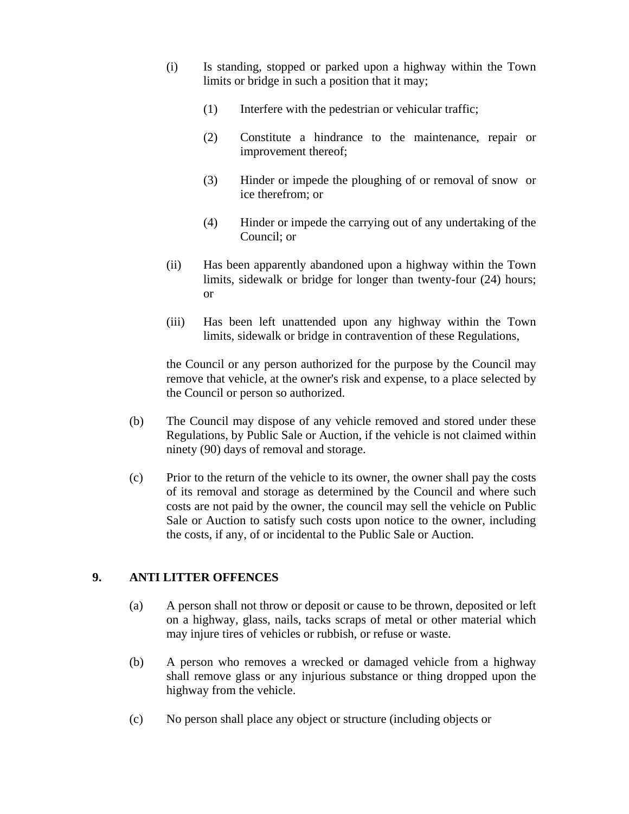- (i) Is standing, stopped or parked upon a highway within the Town limits or bridge in such a position that it may;
	- (1) Interfere with the pedestrian or vehicular traffic;
	- (2) Constitute a hindrance to the maintenance, repair or improvement thereof;
	- (3) Hinder or impede the ploughing of or removal of snow or ice therefrom; or
	- (4) Hinder or impede the carrying out of any undertaking of the Council; or
- (ii) Has been apparently abandoned upon a highway within the Town limits, sidewalk or bridge for longer than twenty-four (24) hours; or
- (iii) Has been left unattended upon any highway within the Town limits, sidewalk or bridge in contravention of these Regulations,

the Council or any person authorized for the purpose by the Council may remove that vehicle, at the owner's risk and expense, to a place selected by the Council or person so authorized.

- (b) The Council may dispose of any vehicle removed and stored under these Regulations, by Public Sale or Auction, if the vehicle is not claimed within ninety (90) days of removal and storage.
- (c) Prior to the return of the vehicle to its owner, the owner shall pay the costs of its removal and storage as determined by the Council and where such costs are not paid by the owner, the council may sell the vehicle on Public Sale or Auction to satisfy such costs upon notice to the owner, including the costs, if any, of or incidental to the Public Sale or Auction.

# **9. ANTI LITTER OFFENCES**

- (a) A person shall not throw or deposit or cause to be thrown, deposited or left on a highway, glass, nails, tacks scraps of metal or other material which may injure tires of vehicles or rubbish, or refuse or waste.
- (b) A person who removes a wrecked or damaged vehicle from a highway shall remove glass or any injurious substance or thing dropped upon the highway from the vehicle.
- (c) No person shall place any object or structure (including objects or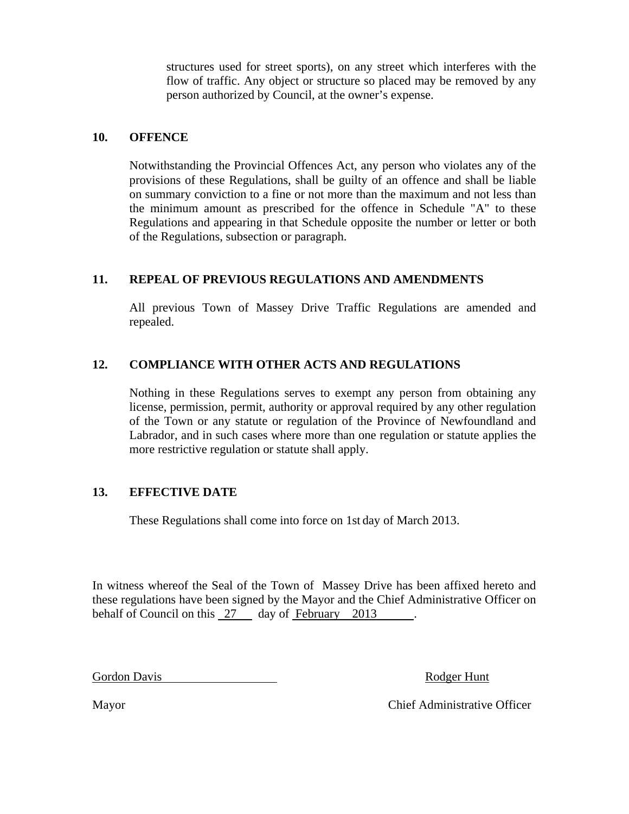structures used for street sports), on any street which interferes with the flow of traffic. Any object or structure so placed may be removed by any person authorized by Council, at the owner's expense.

# **10. OFFENCE**

 Notwithstanding the Provincial Offences Act, any person who violates any of the provisions of these Regulations, shall be guilty of an offence and shall be liable on summary conviction to a fine or not more than the maximum and not less than the minimum amount as prescribed for the offence in Schedule "A" to these Regulations and appearing in that Schedule opposite the number or letter or both of the Regulations, subsection or paragraph.

# **11. REPEAL OF PREVIOUS REGULATIONS AND AMENDMENTS**

All previous Town of Massey Drive Traffic Regulations are amended and repealed.

# **12. COMPLIANCE WITH OTHER ACTS AND REGULATIONS**

 Nothing in these Regulations serves to exempt any person from obtaining any license, permission, permit, authority or approval required by any other regulation of the Town or any statute or regulation of the Province of Newfoundland and Labrador, and in such cases where more than one regulation or statute applies the more restrictive regulation or statute shall apply.

# **13. EFFECTIVE DATE**

These Regulations shall come into force on 1st day of March 2013.

In witness whereof the Seal of the Town of Massey Drive has been affixed hereto and these regulations have been signed by the Mayor and the Chief Administrative Officer on behalf of Council on this 27 day of February 2013.

Gordon Davis **Rodger Hunt** Rodger Hunt

Mayor Chief Administrative Officer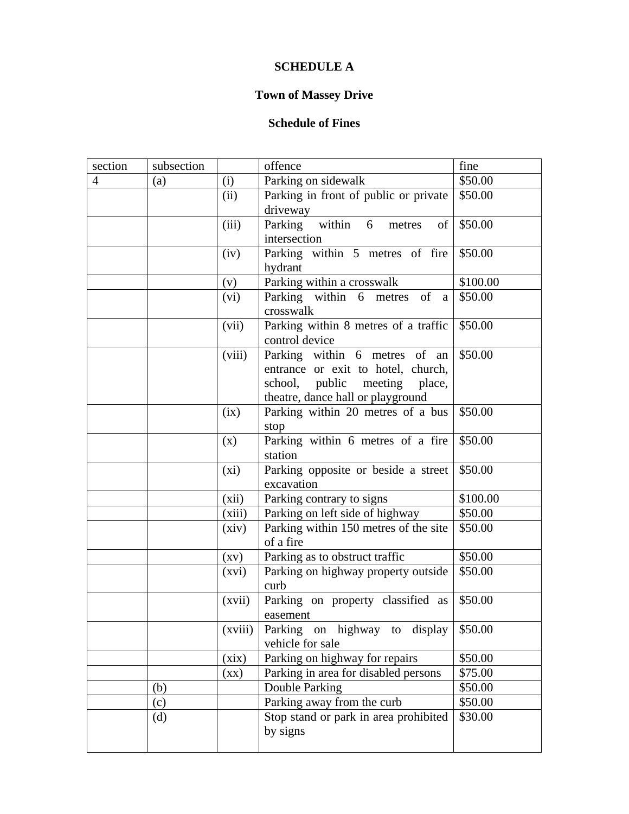# **SCHEDULE A**

# **Town of Massey Drive**

# **Schedule of Fines**

| section | subsection |                          | offence                               | fine     |
|---------|------------|--------------------------|---------------------------------------|----------|
| 4       | (a)        | (i)                      | Parking on sidewalk                   | \$50.00  |
|         |            | (ii)                     | Parking in front of public or private | \$50.00  |
|         |            |                          | driveway                              |          |
|         |            | (iii)                    | Parking within<br>6<br>metres<br>of   | \$50.00  |
|         |            |                          | intersection                          |          |
|         |            | (iv)                     | Parking within 5 metres of fire       | \$50.00  |
|         |            |                          | hydrant                               |          |
|         |            | (v)                      | Parking within a crosswalk            | \$100.00 |
|         |            | (vi)                     | Parking within 6 metres of a          | \$50.00  |
|         |            |                          | crosswalk                             |          |
|         |            | (vii)                    | Parking within 8 metres of a traffic  | \$50.00  |
|         |            |                          | control device                        |          |
|         |            | (viii)                   | Parking within 6 metres of an         | \$50.00  |
|         |            |                          | entrance or exit to hotel, church,    |          |
|         |            |                          | school, public meeting place,         |          |
|         |            |                          | theatre, dance hall or playground     |          |
|         |            | (ix)                     | Parking within 20 metres of a bus     | \$50.00  |
|         |            |                          | stop                                  |          |
|         |            | (x)                      | Parking within 6 metres of a fire     | \$50.00  |
|         |            |                          | station                               |          |
|         |            | (xi)                     | Parking opposite or beside a street   | \$50.00  |
|         |            |                          | excavation                            |          |
|         |            | (xii)                    | Parking contrary to signs             | \$100.00 |
|         |            | (xiii)                   | Parking on left side of highway       | \$50.00  |
|         |            | (xiv)                    | Parking within 150 metres of the site | \$50.00  |
|         |            |                          | of a fire                             |          |
|         |            | $\left( xy\right)$       | Parking as to obstruct traffic        | \$50.00  |
|         |            | (xvi)                    | Parking on highway property outside   | \$50.00  |
|         |            |                          | curb                                  |          |
|         |            | (xvii)                   | Parking on property classified as     | \$50.00  |
|         |            |                          | easement                              |          |
|         |            | (xviii)                  | Parking on highway to<br>display      | \$50.00  |
|         |            |                          | vehicle for sale                      |          |
|         |            | (xix)                    | Parking on highway for repairs        | \$50.00  |
|         |            | $(\mathbf{X}\mathbf{X})$ | Parking in area for disabled persons  | \$75.00  |
|         | (b)        |                          | Double Parking                        | \$50.00  |
|         | (c)        |                          | Parking away from the curb            | \$50.00  |
|         | (d)        |                          | Stop stand or park in area prohibited | \$30.00  |
|         |            |                          | by signs                              |          |
|         |            |                          |                                       |          |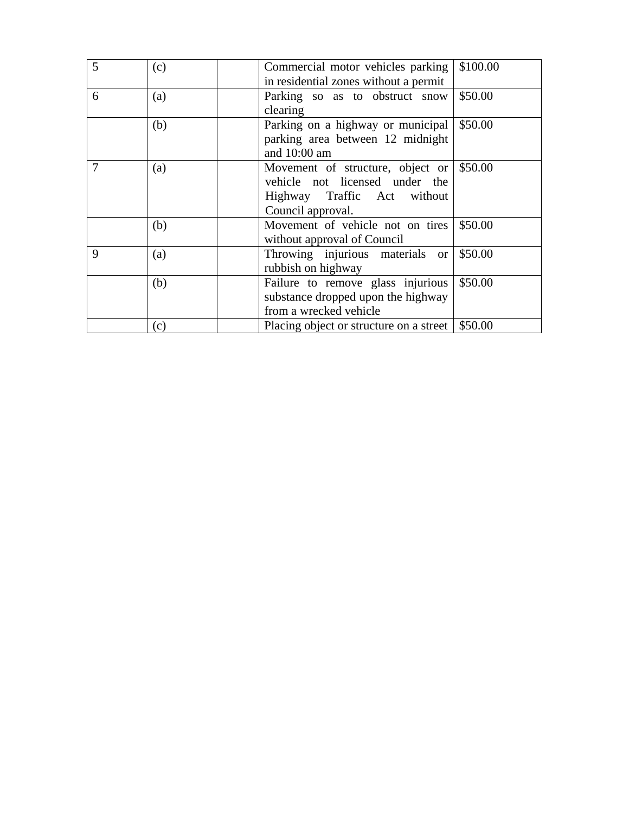| 5 | (c) | Commercial motor vehicles parking       | \$100.00 |
|---|-----|-----------------------------------------|----------|
|   |     | in residential zones without a permit   |          |
| 6 | (a) | Parking so as to obstruct snow          | \$50.00  |
|   |     | clearing                                |          |
|   | (b) | Parking on a highway or municipal       | \$50.00  |
|   |     | parking area between 12 midnight        |          |
|   |     | and $10:00$ am                          |          |
|   | (a) | Movement of structure, object or        | \$50.00  |
|   |     | vehicle not licensed under the          |          |
|   |     | Highway Traffic Act without             |          |
|   |     | Council approval.                       |          |
|   | (b) | Movement of vehicle not on tires        | \$50.00  |
|   |     | without approval of Council             |          |
| 9 | (a) | Throwing injurious materials or         | \$50.00  |
|   |     | rubbish on highway                      |          |
|   | (b) | Failure to remove glass injurious       | \$50.00  |
|   |     | substance dropped upon the highway      |          |
|   |     | from a wrecked vehicle                  |          |
|   | (c) | Placing object or structure on a street | \$50.00  |